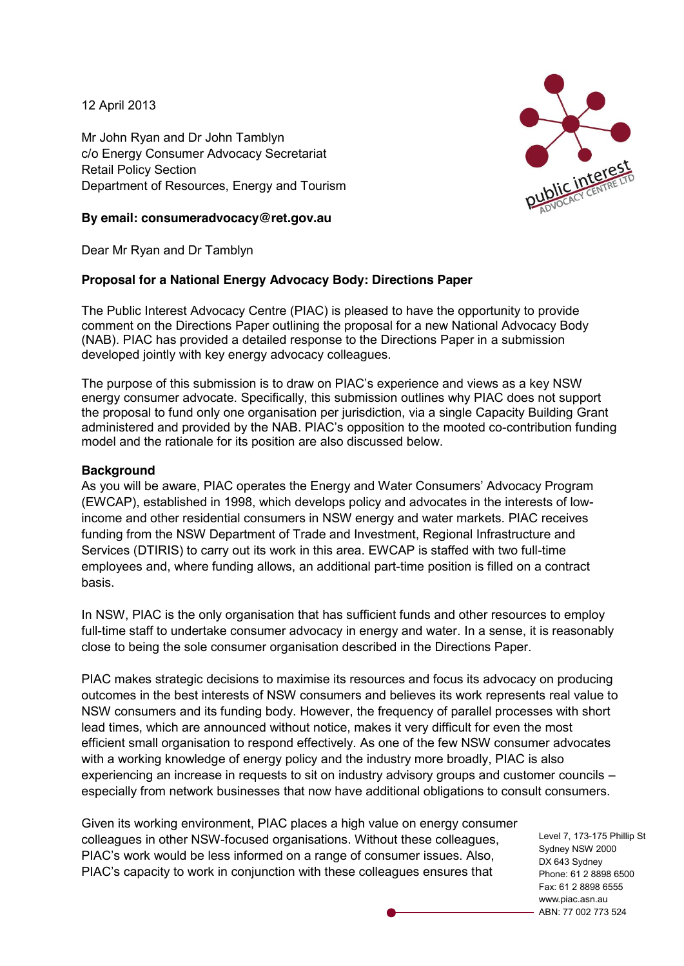12 April 2013

Mr John Ryan and Dr John Tamblyn c/o Energy Consumer Advocacy Secretariat Retail Policy Section Department of Resources, Energy and Tourism



### **By email: consumeradvocacy@ret.gov.au**

Dear Mr Ryan and Dr Tamblyn

# **Proposal for a National Energy Advocacy Body: Directions Paper**

The Public Interest Advocacy Centre (PIAC) is pleased to have the opportunity to provide comment on the Directions Paper outlining the proposal for a new National Advocacy Body (NAB). PIAC has provided a detailed response to the Directions Paper in a submission developed jointly with key energy advocacy colleagues.

The purpose of this submission is to draw on PIAC's experience and views as a key NSW energy consumer advocate. Specifically, this submission outlines why PIAC does not support the proposal to fund only one organisation per jurisdiction, via a single Capacity Building Grant administered and provided by the NAB. PIAC's opposition to the mooted co-contribution funding model and the rationale for its position are also discussed below.

## **Background**

As you will be aware, PIAC operates the Energy and Water Consumers' Advocacy Program (EWCAP), established in 1998, which develops policy and advocates in the interests of lowincome and other residential consumers in NSW energy and water markets. PIAC receives funding from the NSW Department of Trade and Investment, Regional Infrastructure and Services (DTIRIS) to carry out its work in this area. EWCAP is staffed with two full-time employees and, where funding allows, an additional part-time position is filled on a contract basis.

In NSW, PIAC is the only organisation that has sufficient funds and other resources to employ full-time staff to undertake consumer advocacy in energy and water. In a sense, it is reasonably close to being the sole consumer organisation described in the Directions Paper.

PIAC makes strategic decisions to maximise its resources and focus its advocacy on producing outcomes in the best interests of NSW consumers and believes its work represents real value to NSW consumers and its funding body. However, the frequency of parallel processes with short lead times, which are announced without notice, makes it very difficult for even the most efficient small organisation to respond effectively. As one of the few NSW consumer advocates with a working knowledge of energy policy and the industry more broadly, PIAC is also experiencing an increase in requests to sit on industry advisory groups and customer councils – especially from network businesses that now have additional obligations to consult consumers.

Given its working environment, PIAC places a high value on energy consumer colleagues in other NSW-focused organisations. Without these colleagues, PIAC's work would be less informed on a range of consumer issues. Also, PIAC's capacity to work in conjunction with these colleagues ensures that

Level 7, 173-175 Phillip St Sydney NSW 2000 DX 643 Sydney Phone: 61 2 8898 6500 Fax: 61 2 8898 6555 www.piac.asn.au ABN: 77 002 773 524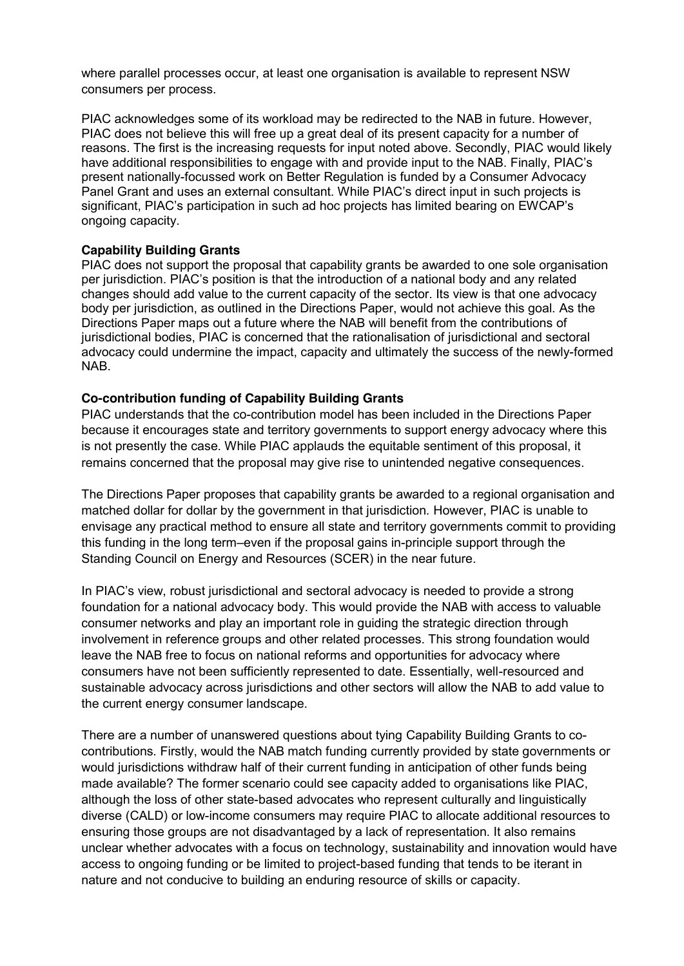where parallel processes occur, at least one organisation is available to represent NSW consumers per process.

PIAC acknowledges some of its workload may be redirected to the NAB in future. However, PIAC does not believe this will free up a great deal of its present capacity for a number of reasons. The first is the increasing requests for input noted above. Secondly, PIAC would likely have additional responsibilities to engage with and provide input to the NAB. Finally, PIAC's present nationally-focussed work on Better Regulation is funded by a Consumer Advocacy Panel Grant and uses an external consultant. While PIAC's direct input in such projects is significant, PIAC's participation in such ad hoc projects has limited bearing on EWCAP's ongoing capacity.

#### **Capability Building Grants**

PIAC does not support the proposal that capability grants be awarded to one sole organisation per jurisdiction. PIAC's position is that the introduction of a national body and any related changes should add value to the current capacity of the sector. Its view is that one advocacy body per jurisdiction, as outlined in the Directions Paper, would not achieve this goal. As the Directions Paper maps out a future where the NAB will benefit from the contributions of jurisdictional bodies, PIAC is concerned that the rationalisation of jurisdictional and sectoral advocacy could undermine the impact, capacity and ultimately the success of the newly-formed NAB.

## **Co-contribution funding of Capability Building Grants**

PIAC understands that the co-contribution model has been included in the Directions Paper because it encourages state and territory governments to support energy advocacy where this is not presently the case. While PIAC applauds the equitable sentiment of this proposal, it remains concerned that the proposal may give rise to unintended negative consequences.

The Directions Paper proposes that capability grants be awarded to a regional organisation and matched dollar for dollar by the government in that jurisdiction. However, PIAC is unable to envisage any practical method to ensure all state and territory governments commit to providing this funding in the long term–even if the proposal gains in-principle support through the Standing Council on Energy and Resources (SCER) in the near future.

In PIAC's view, robust jurisdictional and sectoral advocacy is needed to provide a strong foundation for a national advocacy body. This would provide the NAB with access to valuable consumer networks and play an important role in guiding the strategic direction through involvement in reference groups and other related processes. This strong foundation would leave the NAB free to focus on national reforms and opportunities for advocacy where consumers have not been sufficiently represented to date. Essentially, well-resourced and sustainable advocacy across jurisdictions and other sectors will allow the NAB to add value to the current energy consumer landscape.

There are a number of unanswered questions about tying Capability Building Grants to cocontributions. Firstly, would the NAB match funding currently provided by state governments or would jurisdictions withdraw half of their current funding in anticipation of other funds being made available? The former scenario could see capacity added to organisations like PIAC, although the loss of other state-based advocates who represent culturally and linguistically diverse (CALD) or low-income consumers may require PIAC to allocate additional resources to ensuring those groups are not disadvantaged by a lack of representation. It also remains unclear whether advocates with a focus on technology, sustainability and innovation would have access to ongoing funding or be limited to project-based funding that tends to be iterant in nature and not conducive to building an enduring resource of skills or capacity.